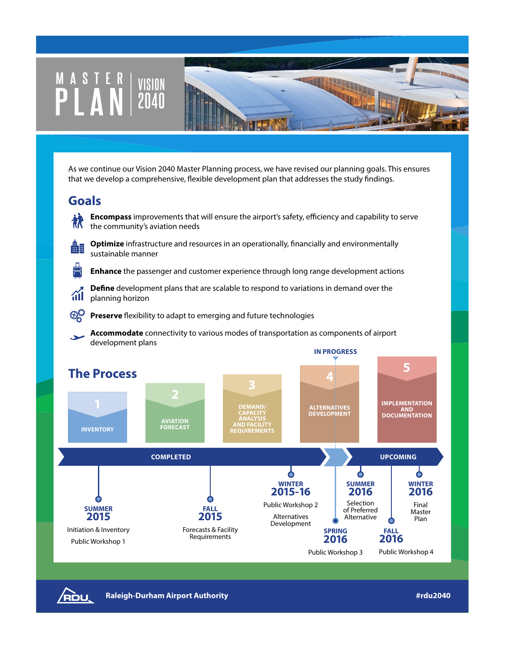## **MASTER VISION PLAN <sup>2040</sup>** As we continue our Vision 2040 Master Planning process, we have revised our planning goals. This ensures that we develop a comprehensive, flexible development plan that addresses the study findings. **Goals Encompass** improvements that will ensure the airport's safety, efficiency and capability to serve the community's aviation needs **Optimize** infrastructure and resources in an operationally, financially and environmentally 蠱闘 sustainable manner **Enhance** the passenger and customer experience through long range development actions **Define** development plans that are scalable to respond to variations in demand over the ńН planning horizon **Preserve** flexibility to adapt to emerging and future technologies **Accommodate** connectivity to various modes of transportation as components of airport development plans **IN PROGRESS 5 The Process 4IMPLEMENTATION DEMAND/ CAPACITY ANALYSIS ALTERNATIVES DEVELOPMENT AND DOCUMENTATION AVIATION FORECAST AND FACILITY REQUIREMENTS INVENTORY**

**COMPLETED UPCOMING** Ò Ò **WINTER 2015-16 SUMMER 2016** Selection Public Workshop 2 **SUMMER FALL** of Preferred **2015 2015** Alternatives Alternative Development Initiation & Inventory Forecasts & Facility **SPRING FALL**  Requirements **2016 2016** Public Workshop 1 Public Workshop 3 Public Workshop 4



**Raleigh-Durham Airport Authority #rdu2040**

**WINTER 2016** Final Master Plan

ዕ